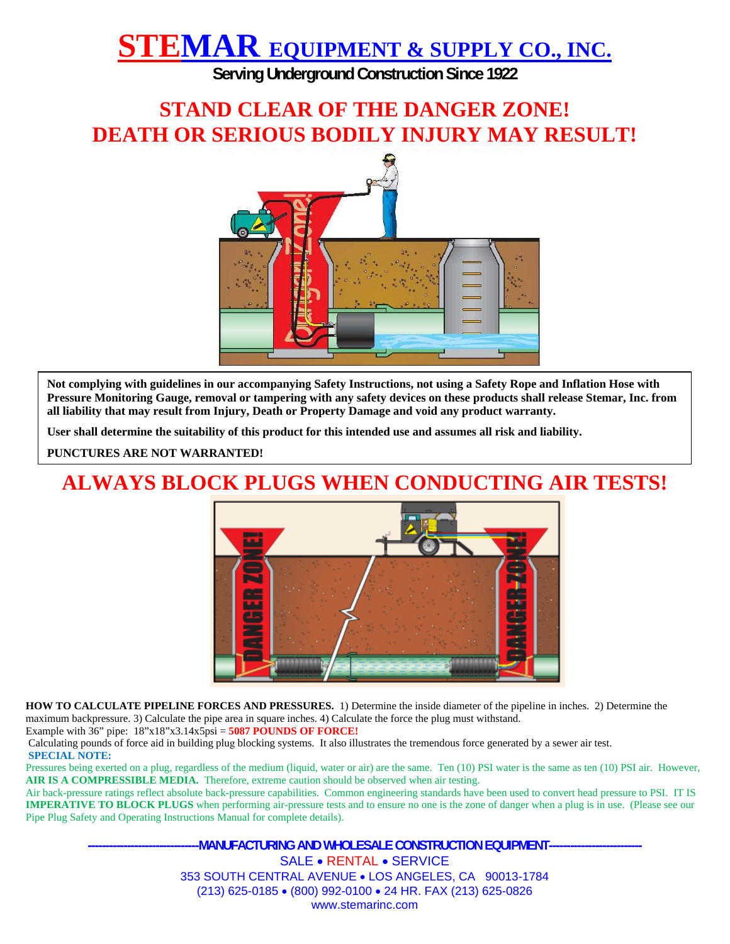**Serving Underground Construction Since 1922** 

### **STAND CLEAR OF THE DANGER ZONE! DEATH OR SERIOUS BODILY INJURY MAY RESULT!**



**Not complying with guidelines in our accompanying Safety Instructions, not using a Safety Rope and Inflation Hose with Pressure Monitoring Gauge, removal or tampering with any safety devices on these products shall release Stemar, Inc. from all liability that may result from Injury, Death or Property Damage and void any product warranty.** 

**User shall determine the suitability of this product for this intended use and assumes all risk and liability.** 

**PUNCTURES ARE NOT WARRANTED!** 

### **ALWAYS BLOCK PLUGS WHEN CONDUCTING AIR TESTS!**



**HOW TO CALCULATE PIPELINE FORCES AND PRESSURES.** 1) Determine the inside diameter of the pipeline in inches. 2) Determine the maximum backpressure. 3) Calculate the pipe area in square inches. 4) Calculate the force the plug must withstand.

Example with 36" pipe: 18"x18"x3.14x5psi = **5087 POUNDS OF FORCE!**

Calculating pounds of force aid in building plug blocking systems. It also illustrates the tremendous force generated by a sewer air test.

#### **SPECIAL NOTE:**

Pressures being exerted on a plug, regardless of the medium (liquid, water or air) are the same. Ten (10) PSI water is the same as ten (10) PSI air. However, AIR IS A COMPRESSIBLE MEDIA. Therefore, extreme caution should be observed when air testing.

Air back-pressure ratings reflect absolute back-pressure capabilities. Common engineering standards have been used to convert head pressure to PSI. IT IS **IMPERATIVE TO BLOCK PLUGS** when performing air-pressure tests and to ensure no one is the zone of danger when a plug is in use. (Please see our Pipe Plug Safety and Operating Instructions Manual for complete details).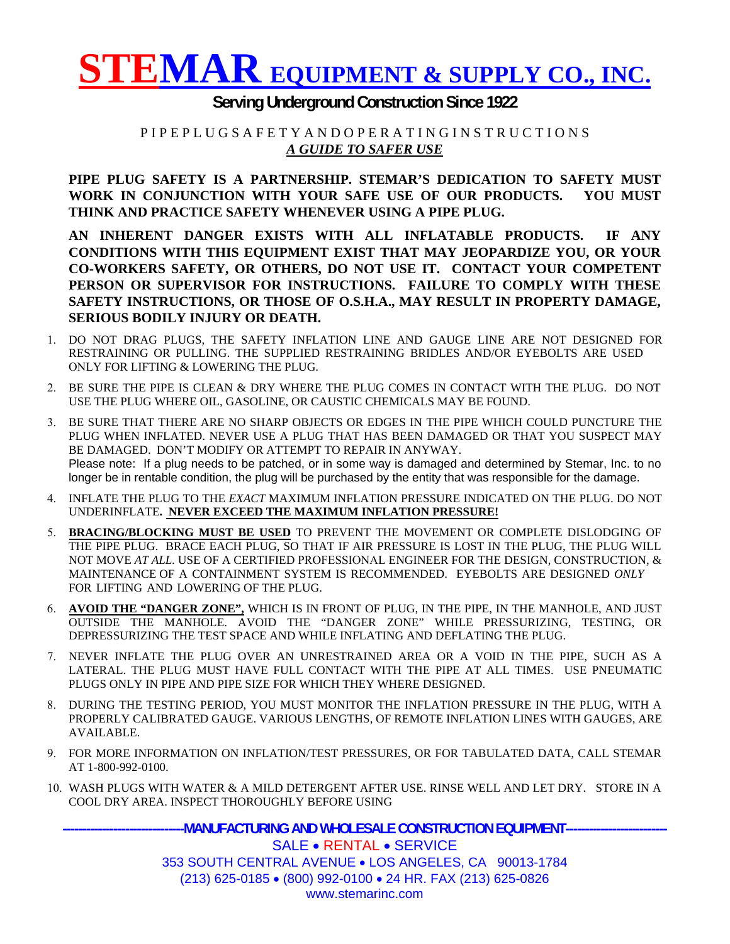

#### **Serving Underground Construction Since 1922**

#### P I P E P L U G S A F E T Y A N D O P E R A T I N G I N S T R U C T I O N S *A GUIDE TO SAFER USE*

**PIPE PLUG SAFETY IS A PARTNERSHIP. STEMAR'S DEDICATION TO SAFETY MUST WORK IN CONJUNCTION WITH YOUR SAFE USE OF OUR PRODUCTS. YOU MUST THINK AND PRACTICE SAFETY WHENEVER USING A PIPE PLUG.** 

**AN INHERENT DANGER EXISTS WITH ALL INFLATABLE PRODUCTS. IF ANY CONDITIONS WITH THIS EQUIPMENT EXIST THAT MAY JEOPARDIZE YOU, OR YOUR CO-WORKERS SAFETY, OR OTHERS, DO NOT USE IT. CONTACT YOUR COMPETENT PERSON OR SUPERVISOR FOR INSTRUCTIONS. FAILURE TO COMPLY WITH THESE SAFETY INSTRUCTIONS, OR THOSE OF O.S.H.A., MAY RESULT IN PROPERTY DAMAGE, SERIOUS BODILY INJURY OR DEATH.** 

- 1. DO NOT DRAG PLUGS, THE SAFETY INFLATION LINE AND GAUGE LINE ARE NOT DESIGNED FOR RESTRAINING OR PULLING. THE SUPPLIED RESTRAINING BRIDLES AND/OR EYEBOLTS ARE USED ONLY FOR LIFTING & LOWERING THE PLUG.
- 2. BE SURE THE PIPE IS CLEAN & DRY WHERE THE PLUG COMES IN CONTACT WITH THE PLUG. DO NOT USE THE PLUG WHERE OIL, GASOLINE, OR CAUSTIC CHEMICALS MAY BE FOUND.
- 3. BE SURE THAT THERE ARE NO SHARP OBJECTS OR EDGES IN THE PIPE WHICH COULD PUNCTURE THE PLUG WHEN INFLATED. NEVER USE A PLUG THAT HAS BEEN DAMAGED OR THAT YOU SUSPECT MAY BE DAMAGED. DON'T MODIFY OR ATTEMPT TO REPAIR IN ANYWAY. Please note: If a plug needs to be patched, or in some way is damaged and determined by Stemar, Inc. to no longer be in rentable condition, the plug will be purchased by the entity that was responsible for the damage.
- 4. INFLATE THE PLUG TO THE *EXACT* MAXIMUM INFLATION PRESSURE INDICATED ON THE PLUG. DO NOT UNDERINFLATE**. NEVER EXCEED THE MAXIMUM INFLATION PRESSURE!**
- 5. **BRACING/BLOCKING MUST BE USED** TO PREVENT THE MOVEMENT OR COMPLETE DISLODGING OF THE PIPE PLUG. BRACE EACH PLUG, SO THAT IF AIR PRESSURE IS LOST IN THE PLUG, THE PLUG WILL NOT MOVE *AT ALL*. USE OF A CERTIFIED PROFESSIONAL ENGINEER FOR THE DESIGN, CONSTRUCTION, & MAINTENANCE OF A CONTAINMENT SYSTEM IS RECOMMENDED. EYEBOLTS ARE DESIGNED *ONLY* FOR LIFTING AND LOWERING OF THE PLUG.
- 6. **AVOID THE "DANGER ZONE",** WHICH IS IN FRONT OF PLUG, IN THE PIPE, IN THE MANHOLE, AND JUST OUTSIDE THE MANHOLE. AVOID THE "DANGER ZONE" WHILE PRESSURIZING, TESTING, OR DEPRESSURIZING THE TEST SPACE AND WHILE INFLATING AND DEFLATING THE PLUG.
- 7. NEVER INFLATE THE PLUG OVER AN UNRESTRAINED AREA OR A VOID IN THE PIPE, SUCH AS A LATERAL. THE PLUG MUST HAVE FULL CONTACT WITH THE PIPE AT ALL TIMES. USE PNEUMATIC PLUGS ONLY IN PIPE AND PIPE SIZE FOR WHICH THEY WHERE DESIGNED.
- 8. DURING THE TESTING PERIOD, YOU MUST MONITOR THE INFLATION PRESSURE IN THE PLUG, WITH A PROPERLY CALIBRATED GAUGE. VARIOUS LENGTHS, OF REMOTE INFLATION LINES WITH GAUGES, ARE AVAILABLE.
- 9. FOR MORE INFORMATION ON INFLATION/TEST PRESSURES, OR FOR TABULATED DATA, CALL STEMAR AT 1-800-992-0100.
- 10. WASH PLUGS WITH WATER & A MILD DETERGENT AFTER USE. RINSE WELL AND LET DRY. STORE IN A COOL DRY AREA. INSPECT THOROUGHLY BEFORE USING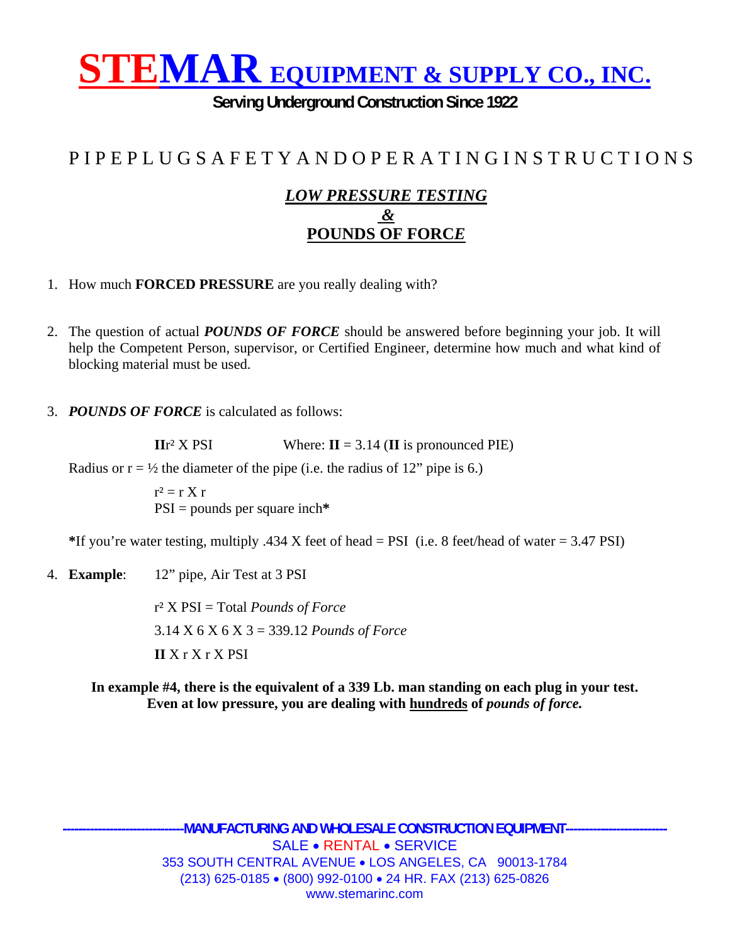**Serving Underground Construction Since 1922** 

### P I P E P L U G S A F E T Y A N D O P E R A T I N G I N S T R U C T I O N S

#### *LOW PRESSURE TESTING &*  **POUNDS OF FORC***E*

- 1. How much **FORCED PRESSURE** are you really dealing with?
- 2. The question of actual *POUNDS OF FORCE* should be answered before beginning your job. It will help the Competent Person, supervisor, or Certified Engineer, determine how much and what kind of blocking material must be used.
- 3. *POUNDS OF FORCE* is calculated as follows:

**II**r<sup>2</sup> X PSI Where:  $I = 3.14$  ( $I$ **I** is pronounced PIE)

Radius or  $r = \frac{1}{2}$  the diameter of the pipe (i.e. the radius of 12" pipe is 6.)

 $r^2 = r X r$ PSI = pounds per square inch**\*** 

**\***If you're water testing, multiply .434 X feet of head = PSI (i.e. 8 feet/head of water = 3.47 PSI)

4. **Example**: 12" pipe, Air Test at 3 PSI

r² X PSI = Total *Pounds of Force* 3.14 X 6 X 6 X 3 = 339.12 *Pounds of Force*  **II** X r X r X PSI

**In example #4, there is the equivalent of a 339 Lb. man standing on each plug in your test. Even at low pressure, you are dealing with hundreds of** *pounds of force.*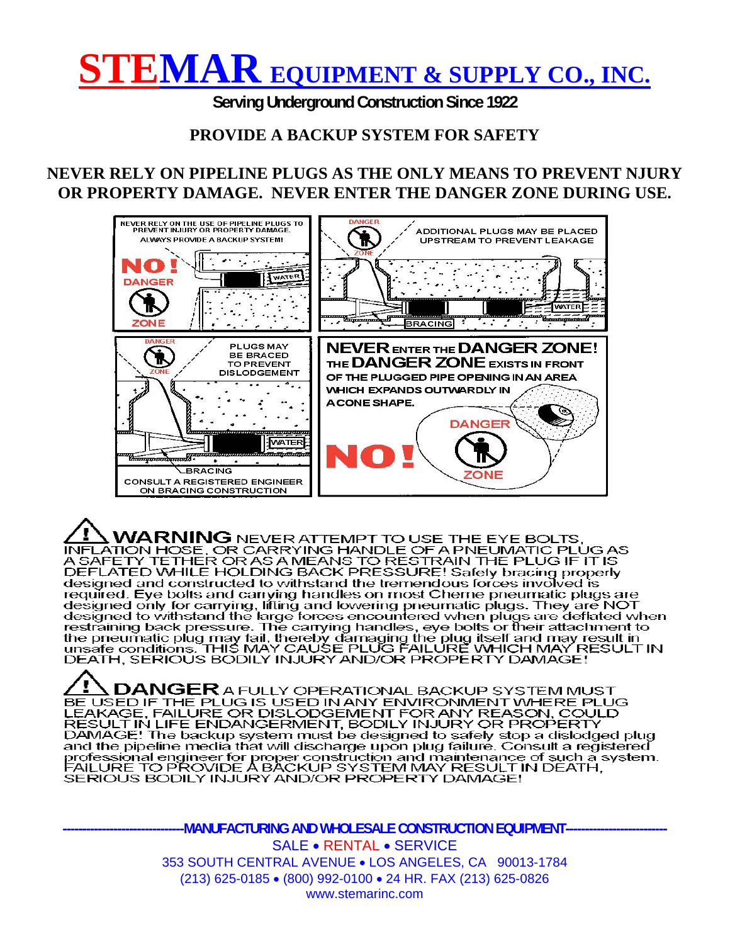**Serving Underground Construction Since 1922** 

#### **PROVIDE A BACKUP SYSTEM FOR SAFETY**

#### **NEVER RELY ON PIPELINE PLUGS AS THE ONLY MEANS TO PREVENT NJURY OR PROPERTY DAMAGE. NEVER ENTER THE DANGER ZONE DURING USE.**



AL WARNING NEVER ATTEMPT TO USE THE EYE BOLTS.<br>INFLATION HOSE, OR CARRYING HANDLE OF A PNEUMATIC PLUG AS<br>A SAFETY TETHER OR AS A MEANS TO RESTRAIN THE PLUG IF IT IS<br>DEFLATED WHILE HOLDING BACK PRESSURE! Safely bracing prop designed and constructed to withstand the tremendous forces involved is<br>required. Eye bolts and carrying handles on most Cherne pneumatic plugs are<br>designed only for carrying, lifting and lowering pneumatic plugs. They are restraining back pressure. The carrying handles, eye bolts or their attachment to the pheumatic plug may fail, thereby damaging the plug itself and may result in<br>unsafe conditions. THIS MAY CAUSE PLUG FAILURE WHICH MAY RESULT IN<br>DEATH, SERIOUS BODILY INJURY AND/OR PROPERTY DAMAGE!

,  $\mathsf{DANGER}$  a fully operational backup system must BE USED IF THE PLUG IS USED IN ANY ENVIRONMENT WHERE PLUG LEAKAGE, FAILURE OR DISLODGEMENT FOR ANY REASON, COULD<br>RESULT IN LIFE ENDANGERMENT, BODILY INJURY OR PROPERTY<br>DAMAGE! The backup system must be designed to safely stop a dislodged plug and the pipeline media that will discharge upon plug failure. Consult a registered professional engineer for proper construction and maintenance of such a system.<br>FAILURE TO PROVIDE A BACKUP SYSTEM MAY RESULT IN DEATH,<br>SERIOUS BODILY INJURY AND/OR PROPERTY DAMAGE!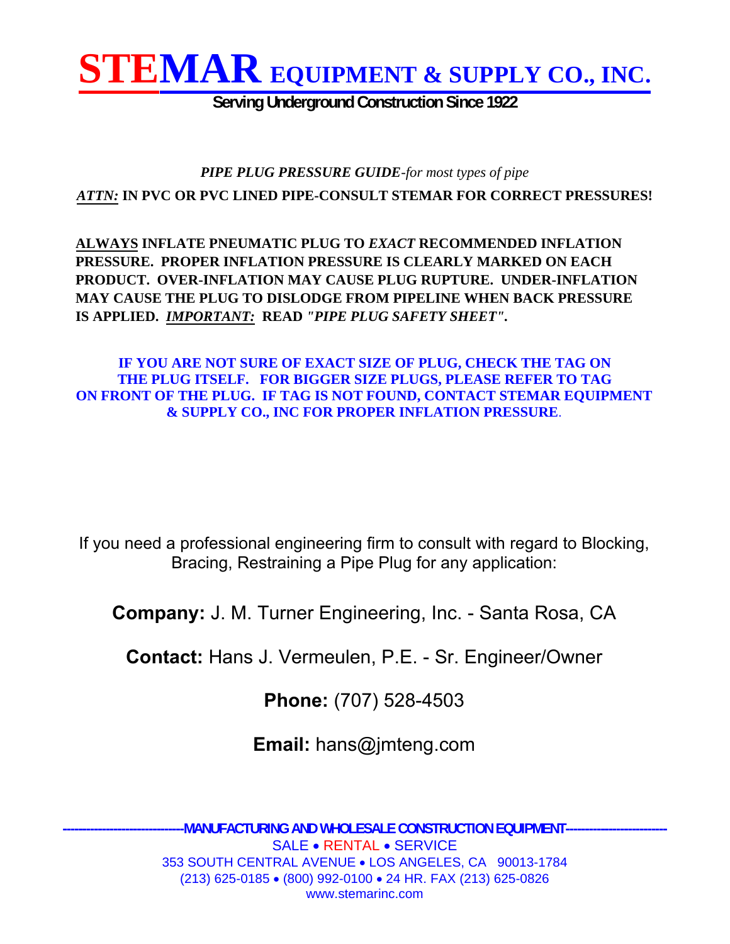

**Serving Underground Construction Since 1922** 

#### *PIPE PLUG PRESSURE GUIDE-for most types of pipe ATTN:* **IN PVC OR PVC LINED PIPE-CONSULT STEMAR FOR CORRECT PRESSURES!**

**ALWAYS INFLATE PNEUMATIC PLUG TO** *EXACT* **RECOMMENDED INFLATION PRESSURE. PROPER INFLATION PRESSURE IS CLEARLY MARKED ON EACH PRODUCT. OVER-INFLATION MAY CAUSE PLUG RUPTURE. UNDER-INFLATION MAY CAUSE THE PLUG TO DISLODGE FROM PIPELINE WHEN BACK PRESSURE IS APPLIED.** *IMPORTANT:* **READ** *"PIPE PLUG SAFETY SHEET".*

#### **IF YOU ARE NOT SURE OF EXACT SIZE OF PLUG, CHECK THE TAG ON THE PLUG ITSELF. FOR BIGGER SIZE PLUGS, PLEASE REFER TO TAG ON FRONT OF THE PLUG. IF TAG IS NOT FOUND, CONTACT STEMAR EQUIPMENT & SUPPLY CO., INC FOR PROPER INFLATION PRESSURE**.

If you need a professional engineering firm to consult with regard to Blocking, Bracing, Restraining a Pipe Plug for any application:

**Company:** J. M. Turner Engineering, Inc. - Santa Rosa, CA

**Contact:** Hans J. Vermeulen, P.E. - Sr. Engineer/Owner

**Phone:** (707) 528-4503

**Email:** hans@jmteng.com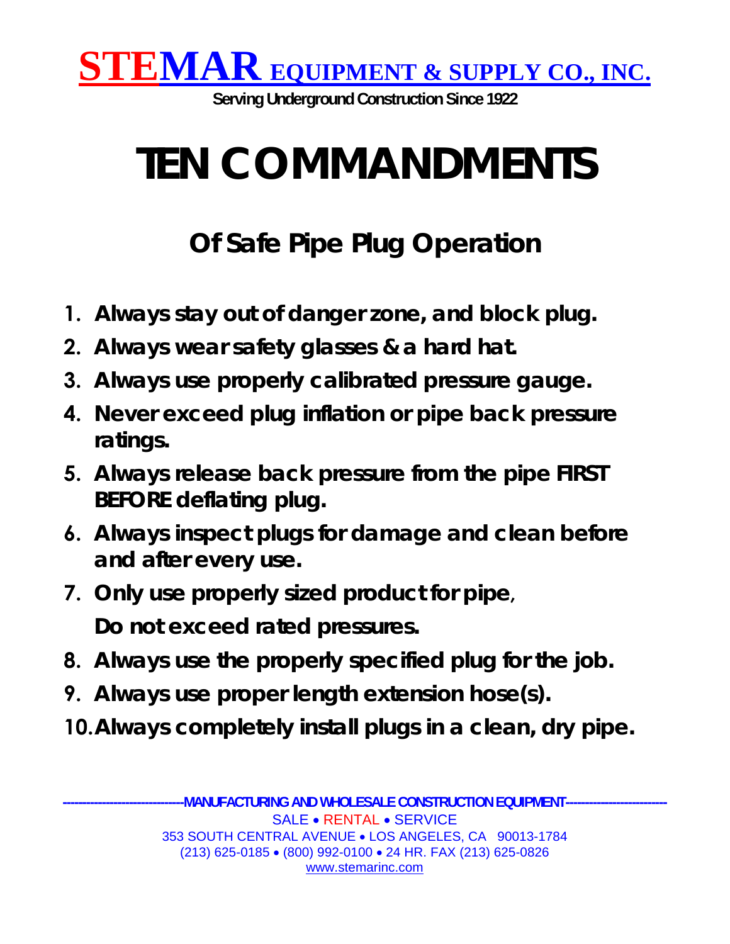

**Serving Underground Construction Since 1922** 

# **TEN COMMANDMENTS**

## **Of Safe Pipe Plug Operation**

- **1. Always stay out of danger zone, and block plug.**
- **2. Always wear safety glasses & a hard hat.**
- **3. Always use properly calibrated pressure gauge.**
- **4. Never exceed plug inflation or pipe back pressure ratings.**
- **5. Always release back pressure from the pipe FIRST BEFORE deflating plug.**
- **6. Always inspect plugs for damage and clean before and after every use.**
- **7. Only use properly sized product for pipe, Do not exceed rated pressures.**
- **8. Always use the properly specified plug for the job.**
- **9. Always use proper length extension hose(s).**
- **10.Always completely install plugs in a clean, dry pipe.**